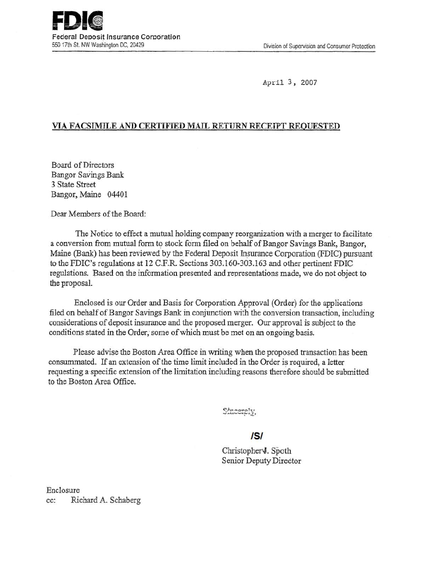April 3, 2007

# VIA FACSIMILE AND CERTIFIED MAIL RETURN RECEIPT REQUESTED

Board of Directors Bangor SaVings Bank 3 State Street Bangor, Maine 04401

Dear Members of the Board:

The Notice to effect a mutual holding company reorganization with a merger to facilitate a conversion from mutual form to stock form filed on behalf of Bangor Savings Bank, Bangor, Maine (Bank) has been reviewed by the Federal Deposit Insurance Corporation (FDIC) pursuant to the FDIC's regulations at 12 C.F.R. Sections 303.160-303.163 and other pertinent FDIC regulations. Based on the information presented and representations made, we do not object to the proposal.

Enclosed is our Order and Basis for Corporation Approval (Order) for the applications filed on behalf of Bangor Savings Bank in conjunction with the conversion transaction, including considerations of deposit insurance and the proposed merger. Our approval is subject to the conditions stated in the Order; some of which must be met on an ongoing basis.

Please advise the Boston Area Office in writing when the proposed transaction has been consummated. If an extension of the time limit included in the Order is required, a letter requesting a specific extension of the limitation including reasons therefore should be submitted to the Boston Area Office.

Sincerely,

# IS/

Christopher<sup>y</sup>. Spoth Senior Deputy Director

Enclosure cc: Richard A. Schaberg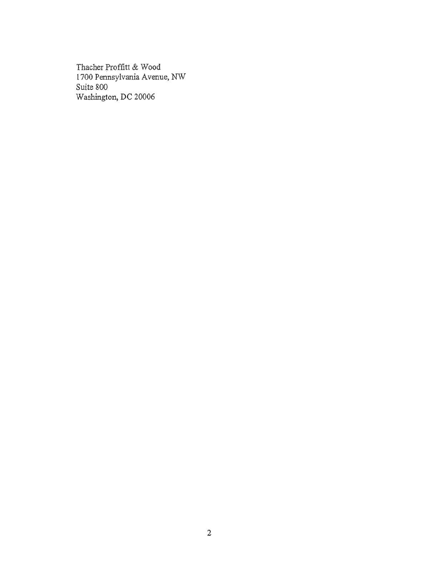Thacher Proffitt & Wood 1700 Pennsylvania A venue, NW *Suite* 800 Washington, DC 20006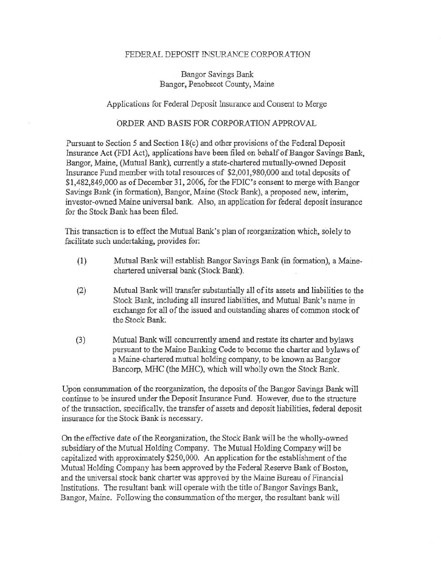#### FEDERAL DEPOSIT INSURANCE CORPORATION

## Bangor Savings Bank Bangor, Penobscot County, Maine

### Applications for Federal Deposit Insurance and Consent to Merge

### ORDER AND BASIS FOR CORPORATION APPROVAL

Pursuant to Section 5 and Section 18(c) and other provisions of the Federal Deposit Insurance Act (FDI Act), applications have been filed on behalf of Bangor Savings Bank, Bangor, Maine, (Mutual Bank), currently a state-chartered mutually-owned Deposit Insurance Fund member with total resources of \$2,001,980,000 and total deposits of \$1,482,849,000 as of December 31, 2006, for the FDIC's consent to merge with Bangor Savings Bank (in formation), Bangor, Maine (Stock Bank), a proposed new, interim, investor-owned Maine universal bank. Also, an application for federal deposit insurance for the Stock Bank has been filed.

This transaction is to effect the Mutual Bank's plan of reorganization which, solely to facilitate such undertaking, provides for:

- (1) Mutual Bank will establish Bangor Savings Bank (in formation), a Mainechartered universal bank (Stock Bank).
- (2) Mutual Bank will transfer substantially all of its assets and liabilities to the Stock Bank, including all insured liabilities, and Mutual Bank's name in exchange for all of the issued and outstanding shares of common stock of the Stock Bank
- (3) Mutual Bank will concurrently amend and restate *its* charter and \_bylaws pursuant to the Maine Banking Code to become the charter and bylaws of a Maine-chartered mutual holding company, to be known as Bangor Bancorp, MHC (the MHC), which will wholly own the Stock Bank.

Upon consununation of the reorganization, the deposits of the Bangor Savings Bank will continue to be insured under the Deposit Insurance Fund. However, due to the structure of the transaction, soecificallv. the transfer of assets and deposit liabilities, federal deposit insurance for the Stock Bank is necessary.

On the effective date of the Reorganization, the Stock Bank will be the wholly-owned subsidiary of the Mutual Holding Company. The Mutual Holding Company will be capitalized with approximately \$250,000. An application for the establishment of the Mutual Holding Company has been approved by the Federal Reserve Bank of Boston, and the universal stock bank charter was approved by the Maine Bureau of Financiai Institutions. The resultant bank will operate with the title of Bangor Savings Bank, Bangor, Maine. Following the consummation of the merger, the resultant bank will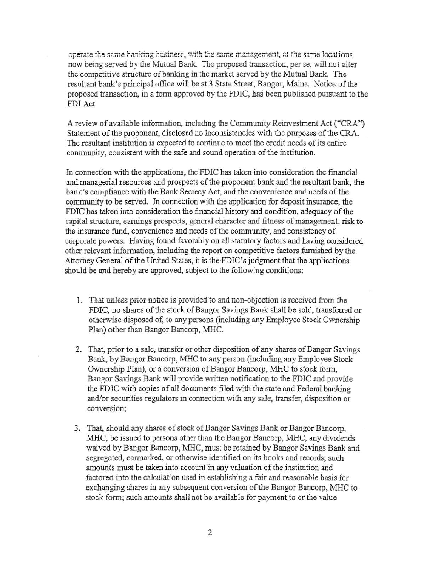operate the same banking business, with the same management, at the same locations now being served by the Mutual Bank. The proposed transaction, per se, will not alter the competitive structure of banking in the market served by the Mutual Bank. The resultant bank's principal office will be at 3 State Street, Bangor, Maine. Notice of the proposed transaction, in a form approved by the FDIC, has been published pursuant to the FDI Act.

A review of available information, including the Community Reinvestment Act ("CRA") Statement of the proponent, disclosed no inconsistencies with the purposes of the CRA. The resultant institution is expected to continue to meet the credit needs of its entire community, consistent with the safe and sound operation of the institution.

In connection with the applications, the FDIC has taken into consideration the financial and managerial resources and prospects of the proponent bank and the resultant bank, the bank's compliance with the Bank Secrecy Act, and the convenience and needs of the community to be served. In connection with the application for deposit insurance, the FDIC has taken into consideration the financial history and condition, adequacy of the capital structure, earnings prospects, general character and fitness of management, risk to the insurance fund, convenience and needs of the community, and consistency of corporate powers. Having found favorably on all statutory factors and having considered other relevant information, including the report on competitive factors furnished by the Attorney General of the United States, it is the FDIC's judgment that the applications should be and hereby are approved, subject to the following conditions:

- 1. That unless prior notice is provided to and non-objection is received from the FDIC, no shares of the stock of Bangor Savings Bank shall be sold, transferred or o:therwise disposed of, to any persons (including any Employee Stock Ownership Plan) other than Bangor Bancorp, MHC.
- 2. That, prior to a sale, transfer or other disposition of any shares of Bangor Savings Bank, by Bangor Bancorp, MHC to any person (including any Employee Stock) Ownership Plan), or a conversion of Bangor Bancorp, MHC to stock form, Bangor Savings Bank will provide written notification to the FDIC and provide the FDIC with copies of all documents filed with the state and Federal banking and/or securities regulators in connection with any sale, transfer, disposition or conversion:
- 3. That, should any shares of stock of Bangor Savings Bank or Bangor Bancorp, MHC, be issued to persons other than the Bangor Bancorp, MHC, any dividends waived by Bangor Bancorp, MHC, must be retained by Bangor Savings Bank and segregated, earmarked, or otherwise identified on its books and records; such amounts must be taken into account in any valuation of the institution and factored into the calculation used in establishing a fair and reasonable basis for exchanging shares in any subsequent conversion of the Bangor Bancorp, MHC to stock form; such amounts shall not be available for payment to or the value